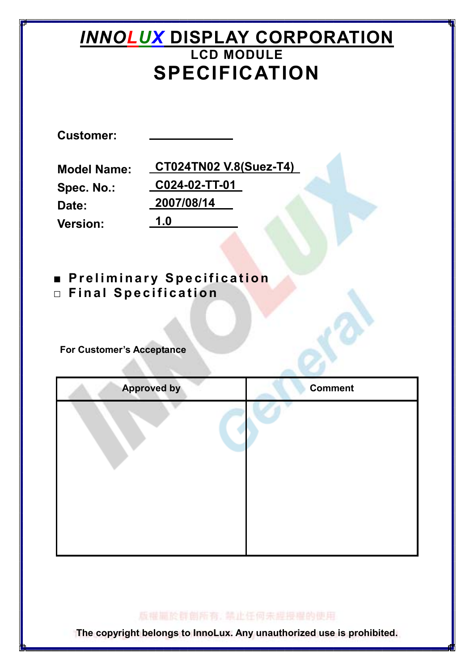# **INNOLUX DISPLAY CORPORATION** LCD MODULE SPECIFICATION

Customer:

Spec. No.: Date: Version: 1.0

Model Name: CT024TN02 V.8(Suez-T4) C024-02-TT-01 2007/08/14

■ Preliminary Specification  $\square$  Final Specification

For Customer's Acceptance

| <b>Approved by</b> | <b>Comment</b> |
|--------------------|----------------|
|                    |                |
|                    |                |
|                    |                |
|                    |                |
|                    |                |
|                    |                |
|                    |                |
|                    |                |

版權扁於群劇所有, 禁止任何未經授權的使用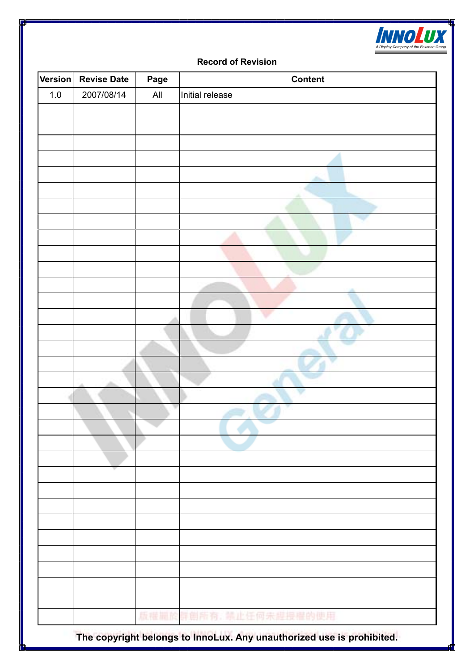

#### Record of Revision

| Version | <b>Revise Date</b> | Page | <b>Content</b>         |
|---------|--------------------|------|------------------------|
| $1.0\,$ | 2007/08/14         | All  | Initial release        |
|         |                    |      |                        |
|         |                    |      |                        |
|         |                    |      |                        |
|         |                    |      |                        |
|         |                    |      |                        |
|         |                    |      |                        |
|         |                    |      |                        |
|         |                    |      |                        |
|         |                    |      |                        |
|         |                    |      |                        |
|         |                    |      |                        |
|         |                    |      |                        |
|         |                    |      |                        |
|         |                    |      |                        |
|         |                    |      |                        |
|         |                    |      |                        |
|         |                    |      |                        |
|         |                    |      |                        |
|         |                    |      |                        |
|         |                    |      |                        |
|         |                    |      |                        |
|         |                    |      |                        |
|         |                    |      |                        |
|         |                    |      |                        |
|         |                    |      |                        |
|         |                    |      |                        |
|         |                    |      |                        |
|         |                    |      |                        |
|         |                    |      |                        |
|         |                    |      |                        |
|         |                    |      |                        |
|         |                    |      |                        |
|         |                    |      |                        |
|         |                    |      | 版權圖於群創所有, 禁止任何未<br>的使用 |
|         |                    |      | <b>ENTRY POLITICAL</b> |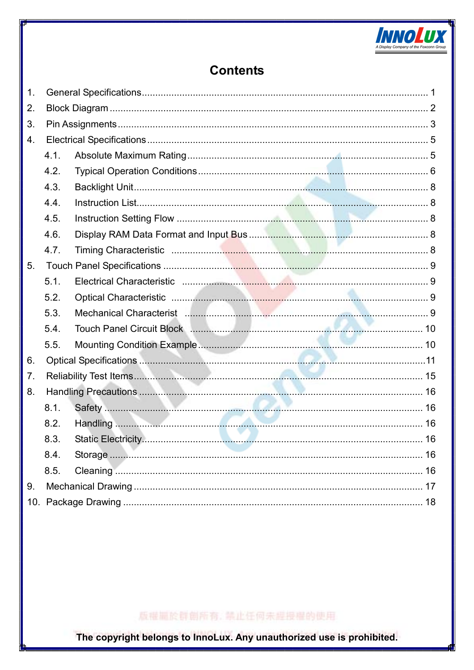

# **Contents**

| 4.1. |                                                                                                                                                                                                                                                           |
|------|-----------------------------------------------------------------------------------------------------------------------------------------------------------------------------------------------------------------------------------------------------------|
| 4.2. |                                                                                                                                                                                                                                                           |
| 4.3. |                                                                                                                                                                                                                                                           |
| 4.4. |                                                                                                                                                                                                                                                           |
| 4.5. |                                                                                                                                                                                                                                                           |
| 4.6. |                                                                                                                                                                                                                                                           |
| 4.7. |                                                                                                                                                                                                                                                           |
|      |                                                                                                                                                                                                                                                           |
| 5.1. |                                                                                                                                                                                                                                                           |
| 5.2. |                                                                                                                                                                                                                                                           |
| 5.3. |                                                                                                                                                                                                                                                           |
| 5.4. |                                                                                                                                                                                                                                                           |
| 5.5. |                                                                                                                                                                                                                                                           |
|      |                                                                                                                                                                                                                                                           |
|      |                                                                                                                                                                                                                                                           |
|      |                                                                                                                                                                                                                                                           |
| 8.1. |                                                                                                                                                                                                                                                           |
| 8.2. |                                                                                                                                                                                                                                                           |
| 8.3. |                                                                                                                                                                                                                                                           |
| 8.4. |                                                                                                                                                                                                                                                           |
| 8.5. |                                                                                                                                                                                                                                                           |
|      |                                                                                                                                                                                                                                                           |
|      |                                                                                                                                                                                                                                                           |
|      | Mechanical Characterist Manual Manual Manual Manual Mechanical Characterist Manual Manual Manual 9<br>Touch Panel Circuit Block <b>Manual Accord Contract Contract Contract Contract Contract Contract Contract Contract Contract Contract Contract O</b> |

# 版權圖於群創所有, 禁止任何未經授權的使用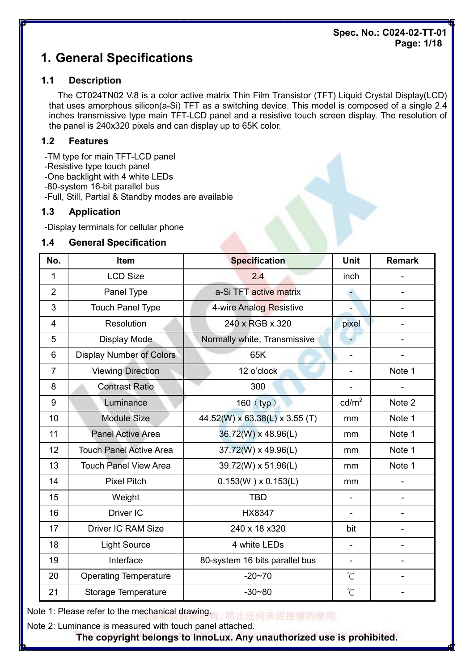### Spec. No.: C024-02-TT-01 Page: 1/18

# 1. General Specifications

### 1.1 Description

The CT024TN02 V.8 is a color active matrix Thin Film Transistor (TFT) Liquid Crystal Display(LCD) that uses amorphous silicon(a-Si) TFT as a switching device. This model is composed of a single 2.4 inches transmissive type main TFT-LCD panel and a resistive touch screen display. The resolution of the panel is 240x320 pixels and can display up to 65K color.

### 1.2 Features

- -TM type for main TFT-LCD panel
- -Resistive type touch panel
- -One backlight with 4 white LEDs
- -80-system 16-bit parallel bus
- -Full, Still, Partial & Standby modes are available

### 1.3 Application

-Display terminals for cellular phone

### 1.4 General Specification

| No.            | Item                            | <b>Specification</b>           | <b>Unit</b>              | <b>Remark</b> |
|----------------|---------------------------------|--------------------------------|--------------------------|---------------|
| 1              | <b>LCD Size</b>                 | 2.4                            | inch                     |               |
| $\overline{2}$ | Panel Type                      | a-Si TFT active matrix         | ٠                        |               |
| 3              | <b>Touch Panel Type</b>         | 4-wire Analog Resistive        |                          |               |
| $\overline{4}$ | Resolution                      | 240 x RGB x 320                | pixel                    |               |
| 5              | Display Mode                    | Normally white, Transmissive   |                          |               |
| 6              | <b>Display Number of Colors</b> | 65K                            |                          |               |
| $\overline{7}$ | <b>Viewing Direction</b>        | 12 o'clock                     |                          | Note 1        |
| 8              | <b>Contrast Ratio</b>           | 300                            |                          |               |
| 9              | Luminance                       | $160$ (typ)                    | $\text{cd/m}^2$          | Note 2        |
| 10             | <b>Module Size</b>              | 44.52(W) x 63.38(L) x 3.55 (T) | mm                       | Note 1        |
| 11             | <b>Panel Active Area</b>        | 36.72(W) x 48.96(L)            | mm                       | Note 1        |
| 12             | <b>Touch Panel Active Area</b>  | 37.72(W) x 49.96(L)            | mm                       | Note 1        |
| 13             | <b>Touch Panel View Area</b>    | 39.72(W) x 51.96(L)            | mm                       | Note 1        |
| 14             | <b>Pixel Pitch</b>              | $0.153(W) \times 0.153(L)$     | mm                       |               |
| 15             | Weight                          | <b>TBD</b>                     | $\overline{\phantom{a}}$ |               |
| 16             | Driver IC                       | <b>HX8347</b>                  |                          |               |
| 17             | <b>Driver IC RAM Size</b>       | 240 x 18 x 320                 | bit                      |               |
| 18             | <b>Light Source</b>             | 4 white LEDs                   |                          |               |
| 19             | Interface                       | 80-system 16 bits parallel bus | $\overline{\phantom{a}}$ |               |
| 20             | <b>Operating Temperature</b>    | $-20 - 70$                     | $\mathrm{C}^{\circ}$     |               |
| 21             | Storage Temperature             | $-30 - 80$                     | $\mathrm{C}^{\circ}$     |               |

Note 1: Please refer to the mechanical drawing. 端止任何来却提出的使用

Note 2: Luminance is measured with touch panel attached.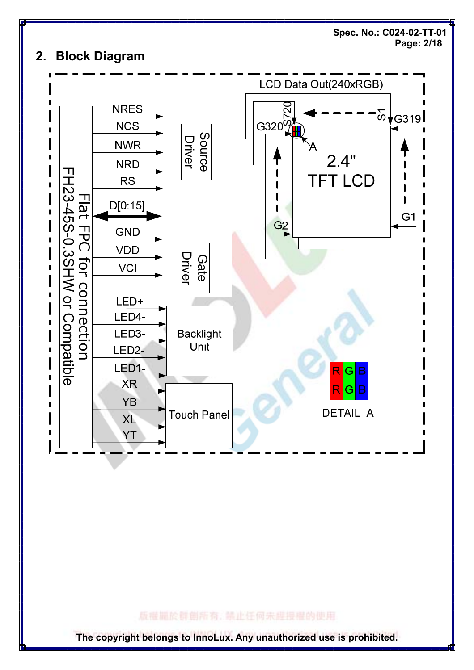

### 版權圖於群劇所有, 禁止任何未經授權的使用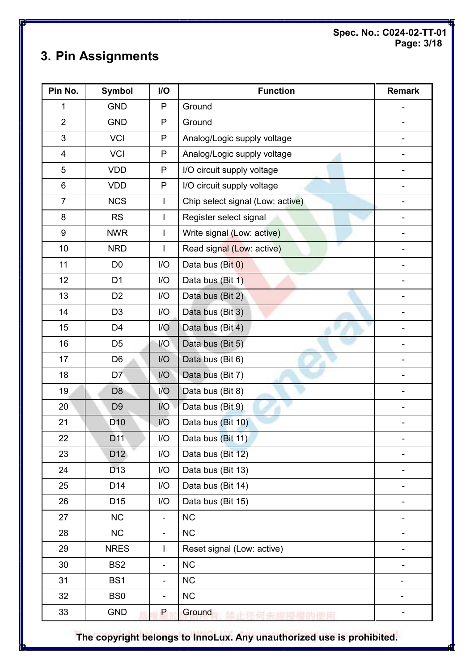Spec. No.: C024-02-TT-01 Page: 3/18

# 3. Pin Assignments

| Pin No.          | <b>Symbol</b>   | I/O                          | <b>Function</b>                  | <b>Remark</b>            |
|------------------|-----------------|------------------------------|----------------------------------|--------------------------|
| 1                | <b>GND</b>      | P                            | Ground                           |                          |
| $\overline{2}$   | <b>GND</b>      | P                            | Ground                           |                          |
| 3                | <b>VCI</b>      | $\mathsf{P}$                 | Analog/Logic supply voltage      |                          |
| 4                | <b>VCI</b>      | P                            | Analog/Logic supply voltage      |                          |
| 5                | <b>VDD</b>      | P                            | I/O circuit supply voltage       | $\overline{\phantom{a}}$ |
| $\,6$            | <b>VDD</b>      | $\mathsf{P}$                 | I/O circuit supply voltage       |                          |
| $\overline{7}$   | <b>NCS</b>      | $\overline{\phantom{a}}$     | Chip select signal (Low: active) |                          |
| 8                | <b>RS</b>       | $\overline{\phantom{a}}$     | Register select signal           |                          |
| $\boldsymbol{9}$ | <b>NWR</b>      | I                            | Write signal (Low: active)       |                          |
| 10               | <b>NRD</b>      | $\overline{1}$               | Read signal (Low: active)        |                          |
| 11               | D <sub>0</sub>  | I/O                          | Data bus (Bit 0)                 |                          |
| 12               | D <sub>1</sub>  | I/O                          | Data bus (Bit 1)                 |                          |
| 13               | D <sub>2</sub>  | I/O                          | Data bus (Bit 2)                 |                          |
| 14               | D <sub>3</sub>  | I/O                          | Data bus (Bit 3)                 |                          |
| 15               | D <sub>4</sub>  | 1/O                          | Data bus (Bit 4)                 |                          |
| 16               | D <sub>5</sub>  | I/O                          | Data bus (Bit 5)                 |                          |
| 17               | D <sub>6</sub>  | I/O                          | Data bus (Bit 6)                 |                          |
| 18               | D7              | I/O                          | Data bus (Bit 7)                 |                          |
| 19               | D <sub>8</sub>  | 1/O                          | Data bus (Bit 8)                 |                          |
| 20               | D <sub>9</sub>  | 1/O                          | Data bus (Bit 9)                 |                          |
| 21               | D <sub>10</sub> | I/O                          | Data bus (Bit 10)                |                          |
| 22               | D <sub>11</sub> | I/O                          | Data bus (Bit 11)                |                          |
| 23               | D <sub>12</sub> | I/O                          | Data bus (Bit 12)                |                          |
| 24               | D <sub>13</sub> | I/O                          | Data bus (Bit 13)                |                          |
| 25               | D14             | I/O                          | Data bus (Bit 14)                |                          |
| 26               | D <sub>15</sub> | I/O                          | Data bus (Bit 15)                |                          |
| 27               | <b>NC</b>       | $\overline{\phantom{a}}$     | <b>NC</b>                        |                          |
| 28               | NC              | $\qquad \qquad \blacksquare$ | <b>NC</b>                        |                          |
| 29               | <b>NRES</b>     | I                            | Reset signal (Low: active)       | $\overline{\phantom{0}}$ |
| 30               | BS <sub>2</sub> | $\overline{\phantom{0}}$     | <b>NC</b>                        |                          |
| 31               | BS1             | $\overline{a}$               | <b>NC</b>                        |                          |
| 32               | BS <sub>0</sub> | $\blacksquare$               | <b>NC</b>                        | -                        |
| 33               | <b>GND</b>      | P                            | Ground                           |                          |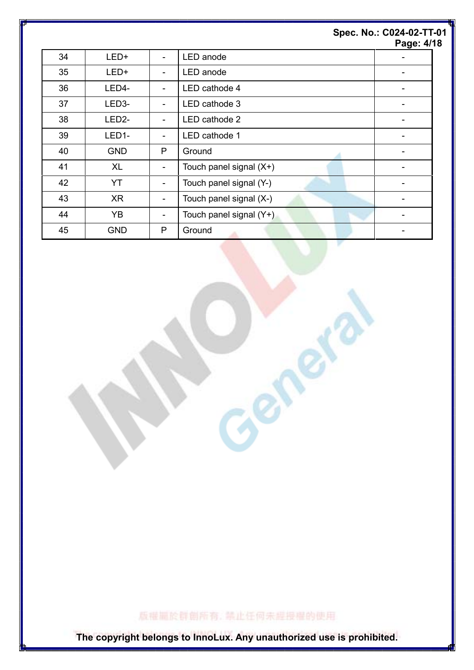|    |                    |                          |                         | Spec. No.: C024-02-TT-01<br>Page: 4/18 |
|----|--------------------|--------------------------|-------------------------|----------------------------------------|
| 34 | LED+               | $\blacksquare$           | LED anode               |                                        |
| 35 | LED+               | $\overline{\phantom{a}}$ | LED anode               |                                        |
| 36 | LED4-              | $\overline{\phantom{a}}$ | LED cathode 4           | ۰                                      |
| 37 | LED3-              | ۰                        | LED cathode 3           |                                        |
| 38 | LED <sub>2</sub> - | $\overline{\phantom{a}}$ | LED cathode 2           |                                        |
| 39 | LED1-              | $\overline{\phantom{a}}$ | LED cathode 1           |                                        |
| 40 | <b>GND</b>         | P                        | Ground                  | -                                      |
| 41 | XL                 | $\overline{\phantom{a}}$ | Touch panel signal (X+) |                                        |
| 42 | YT                 | $\overline{\phantom{a}}$ | Touch panel signal (Y-) |                                        |
| 43 | XR                 | $\overline{\phantom{a}}$ | Touch panel signal (X-) |                                        |
| 44 | YB                 | $\overline{\phantom{a}}$ | Touch panel signal (Y+) |                                        |
| 45 | <b>GND</b>         | $\mathsf{P}$             | Ground                  | ۰                                      |

版權圖於群劇所有, 禁止任何未經授權的使用

Center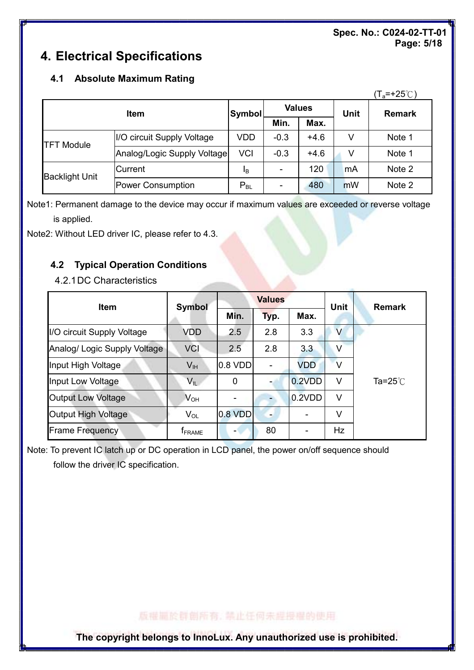### Spec. No.: C024-02-TT-01 Page: 5/18

# 4. Electrical Specifications

### 4.1 Absolute Maximum Rating

|                       |                             |                                |        |        |             | $(T_a=+25^{\circ}C)$ |
|-----------------------|-----------------------------|--------------------------------|--------|--------|-------------|----------------------|
| <b>Item</b>           |                             | <b>Values</b><br><b>Symbol</b> |        |        | <b>Unit</b> | <b>Remark</b>        |
|                       |                             |                                | Min.   | Max.   |             |                      |
| <b>TFT Module</b>     | I/O circuit Supply Voltage  | VDD                            | $-0.3$ | $+4.6$ | V           | Note 1               |
|                       | Analog/Logic Supply Voltage | <b>VCI</b>                     | $-0.3$ | $+4.6$ | v           | Note 1               |
| <b>Backlight Unit</b> | lCurrent                    | <b>I</b> B                     |        | 120    | mA          | Note 2               |
|                       | Power Consumption           | $P_{BL}$                       |        | 480    | mW          | Note 2               |

Note1: Permanent damage to the device may occur if maximum values are exceeded or reverse voltage is applied.

Note2: Without LED driver IC, please refer to 4.3.

# 4.2 Typical Operation Conditions

4.2.1 DC Characteristics

| <b>Item</b>                  | <b>Symbol</b>              |           | <b>Values</b>  |            | <b>Unit</b>       | <b>Remark</b>    |
|------------------------------|----------------------------|-----------|----------------|------------|-------------------|------------------|
|                              |                            | Min.      | Typ.           | Max.       |                   |                  |
| I/O circuit Supply Voltage   | VDD                        | 2.5       | 2.8            | 3.3        | $\vee$            |                  |
| Analog/ Logic Supply Voltage | <b>VCI</b>                 | 2.5       | 2.8            | 3.3        | $\vee$            |                  |
| Input High Voltage           | V <sub>IH</sub>            | $0.8$ VDD | $\blacksquare$ | <b>VDD</b> | $\overline{\vee}$ |                  |
| Input Low Voltage            | $V_{IL}$                   | 0         |                | 0.2VDD     | V                 | Ta= $25^\circ$ C |
| <b>Output Low Voltage</b>    | $\mathsf{V}_{\mathsf{OH}}$ |           |                | 0.2VDD     | $\vee$            |                  |
| Output High Voltage          | $V_{OL}$                   | $0.8$ VDD | $\overline{a}$ |            | V                 |                  |
| <b>Frame Frequency</b>       | <b>f</b> <sub>FRAME</sub>  | ۰         | 80             |            | Hz                |                  |

Note: To prevent IC latch up or DC operation in LCD panel, the power on/off sequence should follow the driver IC specification.

版權圖於群創所有,禁止任何未經授權的使用。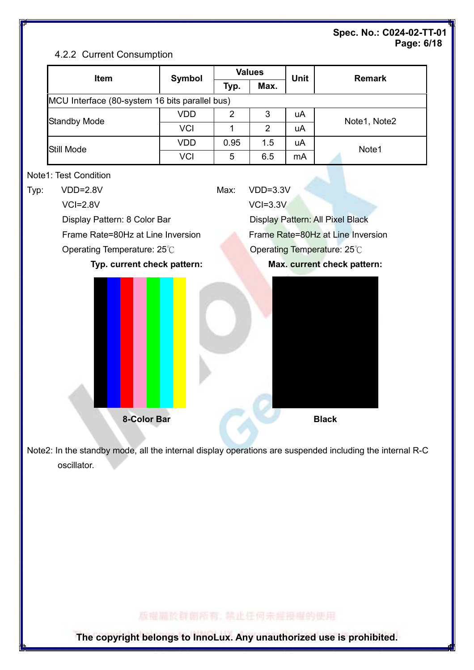### Spec. No.: C024-02-TT-01 Page: 6/18

### 4.2.2 Current Consumption

| Item                                           | <b>Symbol</b> | <b>Values</b>  |                | <b>Unit</b> | <b>Remark</b>                     |  |
|------------------------------------------------|---------------|----------------|----------------|-------------|-----------------------------------|--|
|                                                |               | Typ.           | Max.           |             |                                   |  |
| MCU Interface (80-system 16 bits parallel bus) |               |                |                |             |                                   |  |
| <b>Standby Mode</b>                            | <b>VDD</b>    | $\overline{2}$ | 3              | uA          | Note1, Note2                      |  |
|                                                | <b>VCI</b>    | 1              | $\overline{2}$ | uA          |                                   |  |
| Still Mode                                     | <b>VDD</b>    | 0.95           | 1.5            | uA          | Note1                             |  |
|                                                | <b>VCI</b>    | 5              | 6.5            | mA          |                                   |  |
| Note1: Test Condition                          |               |                |                |             |                                   |  |
| $VDD=2.8V$                                     |               | Max:           | $VDD=3.3V$     |             |                                   |  |
| $VCI = 2.8V$                                   |               |                | $VCI=3.3V$     |             |                                   |  |
| Display Pattern: 8 Color Bar                   |               |                |                |             | Display Pattern: All Pixel Black  |  |
| Frame Rate=80Hz at Line Inversion              |               |                |                |             | Frame Rate=80Hz at Line Inversion |  |
| Operating Temperature: 25°C                    |               |                |                |             | Operating Temperature: 25°C       |  |
| Typ. current check pattern:                    |               |                |                |             | Max. current check pattern:       |  |
|                                                |               |                |                |             |                                   |  |
| 8-Color Bar                                    |               |                |                |             | <b>Black</b>                      |  |

Note2: In the standby mode, all the internal display operations are suspended including the internal R-C oscillator.

# 版權圖於群創所有, 禁止任何未經授權的使用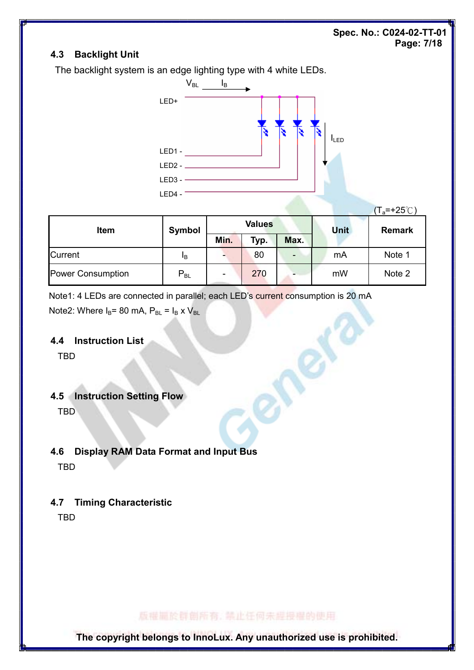### Spec. No.: C024-02-TT-01 Page: 7/18

### 4.3 Backlight Unit

The backlight system is an edge lighting type with 4 white LEDs.



|                   |          |                          |               |                          |      | $(T_a=+25^{\circ}\text{C})$ |  |
|-------------------|----------|--------------------------|---------------|--------------------------|------|-----------------------------|--|
| <b>Item</b>       | Symbol   |                          | <b>Values</b> |                          | Unit | <b>Remark</b>               |  |
|                   |          | Min.                     | Typ.          | Max.                     |      |                             |  |
| <b>Current</b>    | 1B       |                          | 80            | $\overline{\phantom{0}}$ | mA   | Note 1                      |  |
| Power Consumption | $P_{BL}$ | $\overline{\phantom{a}}$ | 270           |                          | mW   | Note 2                      |  |

ener

Note1: 4 LEDs are connected in parallel; each LED's current consumption is 20 mA Note2: Where  $I_B$ = 80 mA,  $P_{BL}$  =  $I_B$  x  $V_{BL}$ 

#### 4.4 Instruction List

TBD

### 4.5 Instruction Setting Flow

TBD

# 4.6 Display RAM Data Format and Input Bus

TBD

# 4.7 Timing Characteristic

TBD

版權圖於群劇所有, 禁止任何未經授權的使用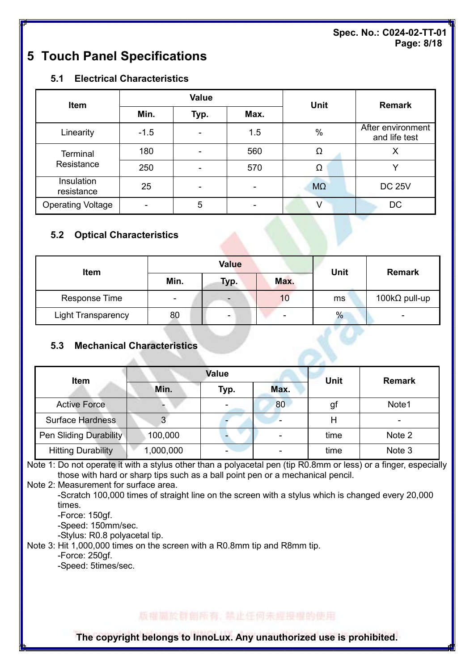### Spec. No.: C024-02-TT-01 Page: 8/18

# 5 Touch Panel Specifications

### 5.1 Electrical Characteristics

| <b>Item</b>              |        | <b>Value</b>             |                          | <b>Unit</b> | <b>Remark</b>                      |
|--------------------------|--------|--------------------------|--------------------------|-------------|------------------------------------|
|                          | Min.   | Typ.                     | Max.                     |             |                                    |
| Linearity                | $-1.5$ |                          | 1.5                      | $\%$        | After environment<br>and life test |
| <b>Terminal</b>          | 180    | $\overline{\phantom{0}}$ | 560                      | Ω           | х                                  |
| Resistance               | 250    |                          | 570                      | Ω           |                                    |
| Insulation<br>resistance | 25     | $\overline{\phantom{0}}$ | $\overline{\phantom{0}}$ | $M\Omega$   | <b>DC 25V</b>                      |
| <b>Operating Voltage</b> |        | 5                        |                          |             | DC                                 |

### 5.2 Optical Characteristics

| Item                      |      | <b>Value</b> | <b>Unit</b> | <b>Remark</b> |                          |  |
|---------------------------|------|--------------|-------------|---------------|--------------------------|--|
|                           | Min. | Typ.         | Max.        |               |                          |  |
| Response Time             | -    |              | 10          | ms            | 100 $k\Omega$ pull-up    |  |
| <b>Light Transparency</b> | 80   | -            |             | $\%$          | $\overline{\phantom{0}}$ |  |

### 5.3 Mechanical Characteristics

| Item                      |           | <b>Value</b> | <b>Unit</b> | <b>Remark</b> |        |
|---------------------------|-----------|--------------|-------------|---------------|--------|
|                           | Min.      | Typ.         | Max.        |               |        |
| <b>Active Force</b>       |           |              | 80          | gī            | Note1  |
| <b>Surface Hardness</b>   | 3         |              |             |               |        |
| Pen Sliding Durability    | 100,000   |              |             | time          | Note 2 |
| <b>Hitting Durability</b> | 1,000,000 |              |             | time          | Note 3 |

Note 1: Do not operate it with a stylus other than a polyacetal pen (tip R0.8mm or less) or a finger, especially those with hard or sharp tips such as a ball point pen or a mechanical pencil.

Note 2: Measurement for surface area.

 -Scratch 100,000 times of straight line on the screen with a stylus which is changed every 20,000 times.

-Force: 150gf.

-Speed: 150mm/sec.

-Stylus: R0.8 polyacetal tip.

Note 3: Hit 1,000,000 times on the screen with a R0.8mm tip and R8mm tip.

-Force: 250gf.

-Speed: 5times/sec.

# 版權圖於群創所有,禁止任何未經授權的使用。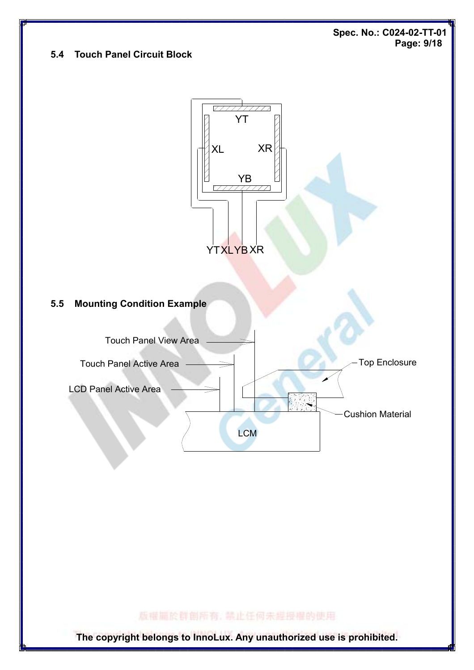Spec. No.: C024-02-TT-01 Page: 9/18

### 5.4 Touch Panel Circuit Block



版權圖於群創所有, 禁止任何未經授權的使用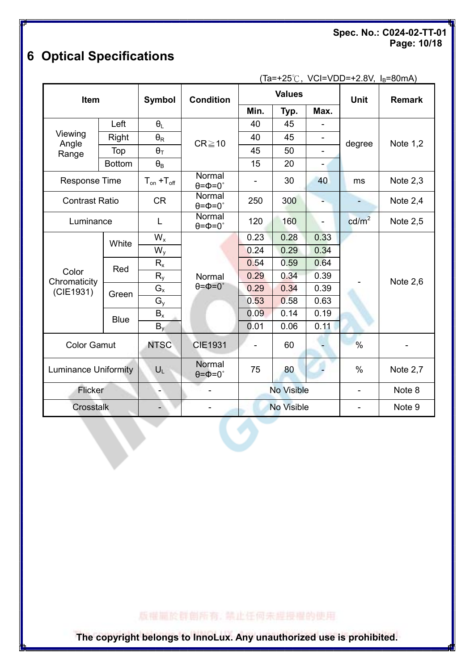Spec. No.: C024-02-TT-01 Page: 10/18

# 6 Optical Specifications

 $(Ta=+25°C, VCI=VDD=+2.8V, I_B=80mA)$ 

| Item                                                                       |                                            | <b>Condition</b><br><b>Symbol</b> |                                 | <b>Values</b> |                |                              | Unit              | <b>Remark</b>   |
|----------------------------------------------------------------------------|--------------------------------------------|-----------------------------------|---------------------------------|---------------|----------------|------------------------------|-------------------|-----------------|
|                                                                            |                                            |                                   |                                 | Min.          | Typ.           | Max.                         |                   |                 |
| Left<br>Viewing<br>Right<br>Angle<br>Top<br>Range                          |                                            | $\theta_{\rm L}$                  | $CR \ge 10$                     | 40            | 45             |                              | degree            | Note 1,2        |
|                                                                            |                                            | $\theta_{\rm R}$                  |                                 | 40            | 45             | $\qquad \qquad \blacksquare$ |                   |                 |
|                                                                            |                                            | $\theta$ T                        |                                 | 45            | 50             |                              |                   |                 |
|                                                                            | <b>Bottom</b>                              | $\theta_{\rm B}$                  |                                 | 15            | 20             | $\overline{\phantom{a}}$     |                   |                 |
| <b>Response Time</b>                                                       |                                            | $T_{on} + T_{off}$                | Normal<br>$\theta = \Phi = 0$ ° |               | 30             | 40                           | ms                | Note $2,3$      |
| <b>Contrast Ratio</b>                                                      |                                            | <b>CR</b>                         | Normal<br>$\theta = \phi = 0$ ° | 250           | 300            |                              |                   | Note $2,4$      |
| Luminance                                                                  |                                            | L                                 | Normal<br>$\theta = \phi = 0$ ° | 120           | 160            | ÷,                           | cd/m <sup>2</sup> | <b>Note 2,5</b> |
| White<br>Red<br>Color<br>Chromaticity<br>(CIE1931)<br>Green<br><b>Blue</b> |                                            | $W_{x}$                           |                                 | 0.23          | 0.28           | 0.33                         |                   | Note $2,6$      |
|                                                                            |                                            | $W_{\rm v}$                       |                                 | 0.24          | 0.29           | 0.34                         |                   |                 |
|                                                                            |                                            | $R_{x}$                           |                                 | 0.54          | 0.59           | 0.64                         |                   |                 |
|                                                                            |                                            | $R_{y}$                           | Normal<br>$\theta = \Phi = 0$ ° | 0.29          | 0.34           | 0.39                         |                   |                 |
|                                                                            |                                            | $G_{x}$                           |                                 | 0.29          | 0.34           | 0.39                         |                   |                 |
|                                                                            |                                            | $G_{y}$                           |                                 | 0.53          | 0.58           | 0.63                         |                   |                 |
|                                                                            |                                            | $B_{x}$                           |                                 | 0.09          | 0.14           | 0.19                         |                   |                 |
|                                                                            |                                            | $B_y$                             |                                 | 0.01          | 0.06           | 0.11                         |                   |                 |
| <b>Color Gamut</b>                                                         |                                            | <b>NTSC</b>                       | <b>CIE1931</b>                  |               | 60             |                              | $\frac{0}{0}$     |                 |
| <b>Luminance Uniformity</b>                                                |                                            | $U_L$                             | Normal<br>$\theta = \Phi = 0$ ° | 75            | 80             |                              | $\frac{0}{0}$     | Note 2,7        |
|                                                                            | <b>Flicker</b><br>$\overline{\phantom{a}}$ |                                   | <b>No Visible</b>               |               | $\blacksquare$ | Note 8                       |                   |                 |
| Crosstalk                                                                  |                                            |                                   | <b>No Visible</b>               |               |                | Note 9                       |                   |                 |

# 版權圖於群創所有, 禁止任何未經授權的使用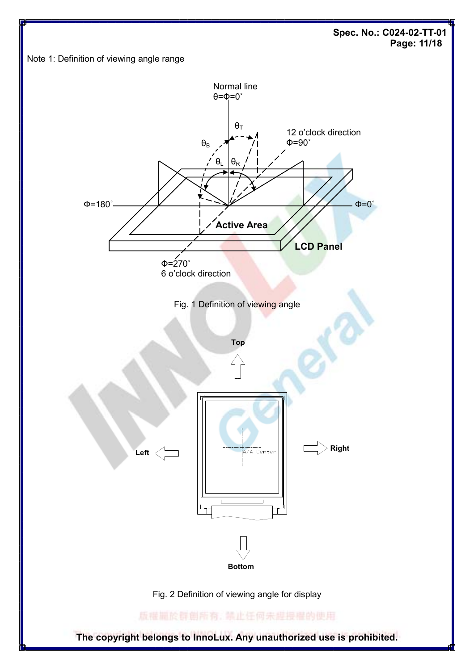Spec. No.: C024-02-TT-01 Page: 11/18



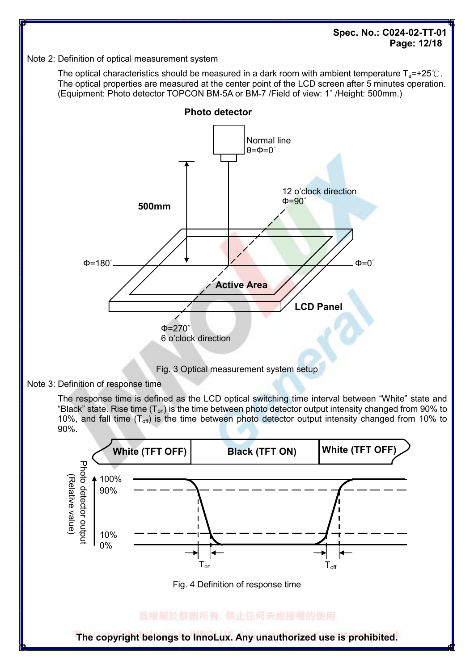Spec. No.: C024-02-TT-01 Page: 12/18

#### Note 2: Definition of optical measurement system

The optical characteristics should be measured in a dark room with ambient temperature  $T_a$ =+25℃. The optical properties are measured at the center point of the LCD screen after 5 minutes operation. (Equipment: Photo detector TOPCON BM-5A or BM-7 /Field of view: 1˚ /Height: 500mm.)



Fig. 3 Optical measurement system setup

Note 3: Definition of response time

The response time is defined as the LCD optical switching time interval between "White" state and "Black" state. Rise time  $(T_{on})$  is the time between photo detector output intensity changed from 90% to 10%, and fall time  $(T_{off})$  is the time between photo detector output intensity changed from 10% to 90%.

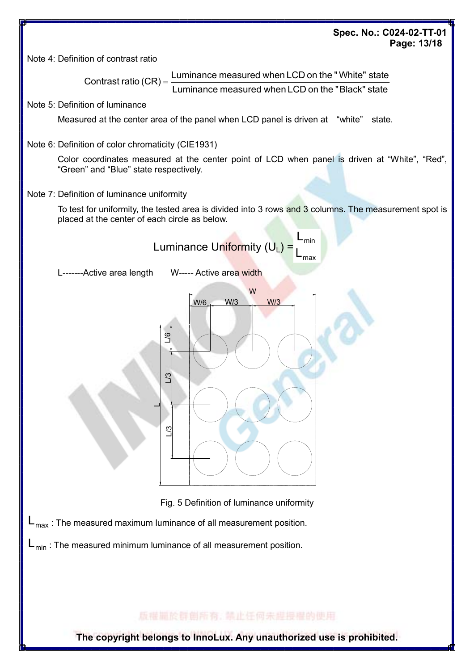### Spec. No.: C024-02-TT-01 Page: 13/18

Note 4: Definition of contrast ratio

Luminance measured when LCD on the " Black" state Contrast ratio  $(CR) = \frac{Luminance$  measured when LCD on the "White" state

Note 5: Definition of luminance

Measured at the center area of the panel when LCD panel is driven at "white" state.

Note 6: Definition of color chromaticity (CIE1931)

Color coordinates measured at the center point of LCD when panel is driven at "White", "Red", "Green" and "Blue" state respectively.

#### Note 7: Definition of luminance uniformity

To test for uniformity, the tested area is divided into 3 rows and 3 columns. The measurement spot is placed at the center of each circle as below.



L-------Active area length W----- Active area width



Fig. 5 Definition of luminance uniformity

 $L_{\text{max}}$ : The measured maximum luminance of all measurement position.

 $L_{min}$ : The measured minimum luminance of all measurement position.

版權圖於群劇所有, 禁止任何未經授權的使用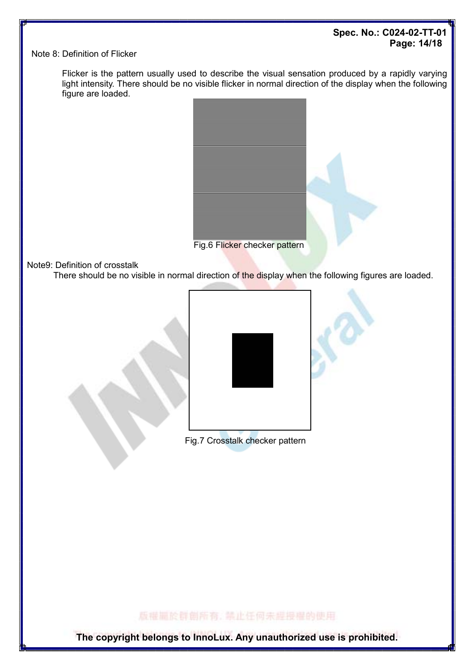### Spec. No.: C024-02-TT-01 Page: 14/18

Note 8: Definition of Flicker

 Flicker is the pattern usually used to describe the visual sensation produced by a rapidly varying light intensity. There should be no visible flicker in normal direction of the display when the following figure are loaded.



Note9: Definition of crosstalk

There should be no visible in normal direction of the display when the following figures are loaded.



Fig.7 Crosstalk checker pattern

版權圖於群劇所有, 禁止任何未經授權的使用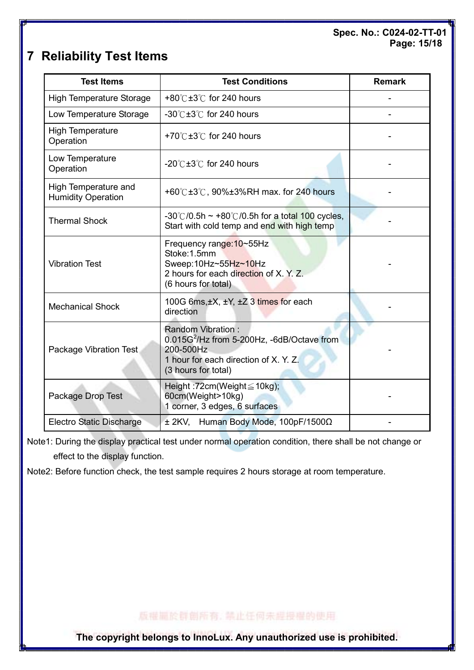### Spec. No.: C024-02-TT-01 Page: 15/18

# 7 Reliability Test Items

| <b>Test Items</b>                                 | <b>Test Conditions</b>                                                                                                                                          | <b>Remark</b> |
|---------------------------------------------------|-----------------------------------------------------------------------------------------------------------------------------------------------------------------|---------------|
| <b>High Temperature Storage</b>                   | +80 $\degree$ C ±3 $\degree$ C for 240 hours                                                                                                                    |               |
| Low Temperature Storage                           | -30 $\degree$ C ±3 $\degree$ C for 240 hours                                                                                                                    |               |
| <b>High Temperature</b><br>Operation              | +70 $\degree$ C ±3 $\degree$ C for 240 hours                                                                                                                    |               |
| Low Temperature<br>Operation                      | $-20^{\circ}$ C $\pm 3^{\circ}$ C for 240 hours                                                                                                                 |               |
| High Temperature and<br><b>Humidity Operation</b> | +60° $C$ ±3° $C$ , 90%±3%RH max. for 240 hours                                                                                                                  |               |
| <b>Thermal Shock</b>                              | $-30^{\circ}$ (0.5h $\sim$ +80 $^{\circ}$ (0.5h for a total 100 cycles,<br>Start with cold temp and end with high temp                                          |               |
| <b>Vibration Test</b>                             | Frequency range: 10~55Hz<br>Stoke:1.5mm<br>Sweep:10Hz~55Hz~10Hz<br>2 hours for each direction of X. Y. Z.<br>(6 hours for total)                                |               |
| <b>Mechanical Shock</b>                           | 100G 6ms, ±X, ±Y, ±Z 3 times for each<br>direction                                                                                                              |               |
| Package Vibration Test                            | <b>Random Vibration:</b><br>0.015G <sup>2</sup> /Hz from 5-200Hz, -6dB/Octave from<br>200-500Hz<br>1 hour for each direction of X. Y. Z.<br>(3 hours for total) |               |
| Package Drop Test                                 | Height: 72cm(Weight $\leq$ 10kg);<br>60cm(Weight>10kg)<br>1 corner, 3 edges, 6 surfaces                                                                         |               |
| <b>Electro Static Discharge</b>                   | ± 2KV, Human Body Mode, 100pF/1500Ω                                                                                                                             |               |

Note1: During the display practical test under normal operation condition, there shall be not change or effect to the display function.

Note2: Before function check, the test sample requires 2 hours storage at room temperature.

版權圖於群劇所有, 禁止任何未經授權的使用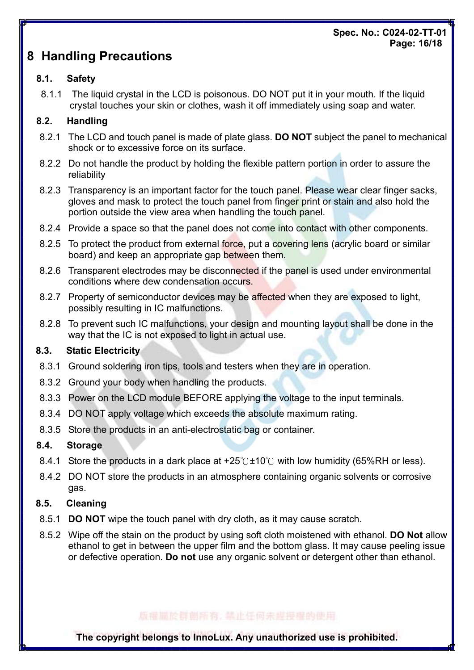### Spec. No.: C024-02-TT-01 Page: 16/18

# 8 Handling Precautions

# 8.1. Safety

8.1.1 The liquid crystal in the LCD is poisonous. DO NOT put it in your mouth. If the liquid crystal touches your skin or clothes, wash it off immediately using soap and water.

# 8.2. Handling

- 8.2.1 The LCD and touch panel is made of plate glass. **DO NOT** subject the panel to mechanical shock or to excessive force on its surface.
- 8.2.2 Do not handle the product by holding the flexible pattern portion in order to assure the reliability
- 8.2.3 Transparency is an important factor for the touch panel. Please wear clear finger sacks, gloves and mask to protect the touch panel from finger print or stain and also hold the portion outside the view area when handling the touch panel.
- 8.2.4 Provide a space so that the panel does not come into contact with other components.
- 8.2.5 To protect the product from external force, put a covering lens (acrylic board or similar board) and keep an appropriate gap between them.
- 8.2.6 Transparent electrodes may be disconnected if the panel is used under environmental conditions where dew condensation occurs.
- 8.2.7 Property of semiconductor devices may be affected when they are exposed to light, possibly resulting in IC malfunctions.
- 8.2.8 To prevent such IC malfunctions, your design and mounting layout shall be done in the way that the IC is not exposed to light in actual use.

# 8.3. Static Electricity

- 8.3.1 Ground soldering iron tips, tools and testers when they are in operation.
- 8.3.2 Ground your body when handling the products.
- 8.3.3 Power on the LCD module BEFORE applying the voltage to the input terminals.
- 8.3.4 DO NOT apply voltage which exceeds the absolute maximum rating.
- 8.3.5 Store the products in an anti-electrostatic bag or container.

# 8.4. Storage

- 8.4.1 Store the products in a dark place at  $+25^{\circ}$   $\sim$  10  $\circ$  with low humidity (65%RH or less).
- 8.4.2 DO NOT store the products in an atmosphere containing organic solvents or corrosive gas.

# 8.5. Cleaning

- 8.5.1 **DO NOT** wipe the touch panel with dry cloth, as it may cause scratch.
- 8.5.2 Wipe off the stain on the product by using soft cloth moistened with ethanol. **DO Not** allow ethanol to get in between the upper film and the bottom glass. It may cause peeling issue or defective operation. Do not use any organic solvent or detergent other than ethanol.

# 版權圖於群劇所有: 禁止任何未經授權的使用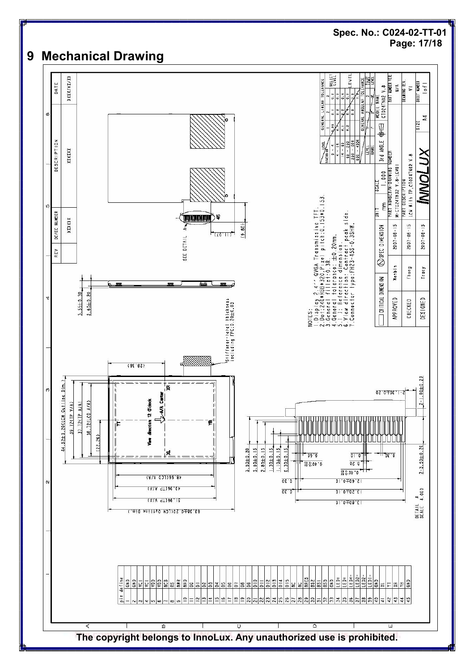